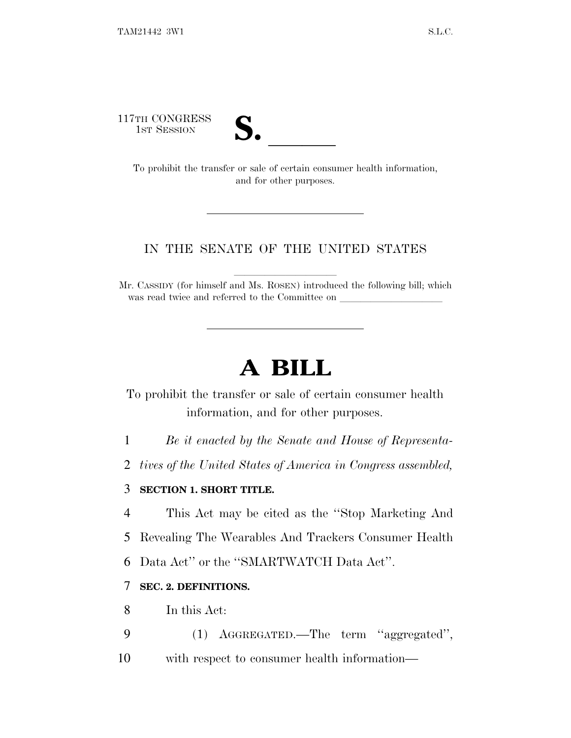117TH CONGRESS



TH CONGRESS<br>
1ST SESSION<br>
To prohibit the transfer or sale of certain consumer health information, and for other purposes.

## IN THE SENATE OF THE UNITED STATES

Mr. CASSIDY (for himself and Ms. ROSEN) introduced the following bill; which was read twice and referred to the Committee on

# **A BILL**

To prohibit the transfer or sale of certain consumer health information, and for other purposes.

1 *Be it enacted by the Senate and House of Representa-*

2 *tives of the United States of America in Congress assembled,*

### 3 **SECTION 1. SHORT TITLE.**

4 This Act may be cited as the ''Stop Marketing And

5 Revealing The Wearables And Trackers Consumer Health

6 Data Act'' or the ''SMARTWATCH Data Act''.

## 7 **SEC. 2. DEFINITIONS.**

8 In this Act:

- 9 (1) AGGREGATED.—The term ''aggregated'',
- 10 with respect to consumer health information—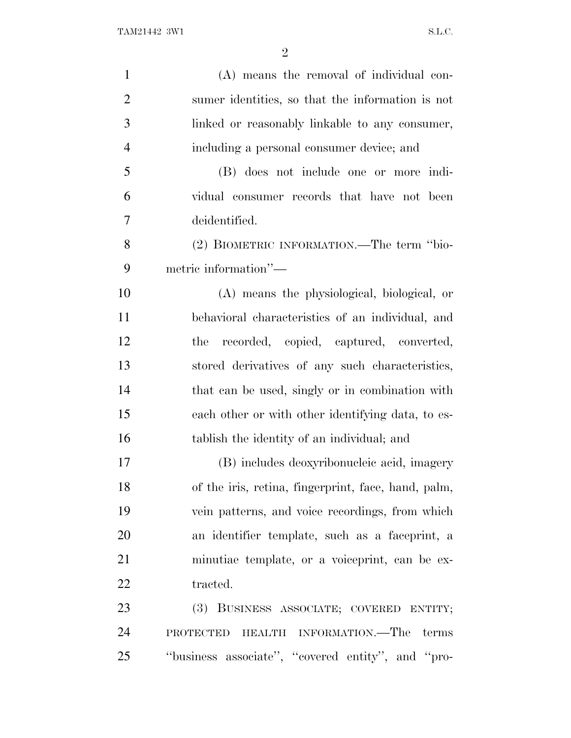| $\mathbf{1}$   | (A) means the removal of individual con-            |
|----------------|-----------------------------------------------------|
| $\overline{2}$ | sumer identities, so that the information is not    |
| 3              | linked or reasonably linkable to any consumer,      |
| $\overline{4}$ | including a personal consumer device; and           |
| 5              | (B) does not include one or more indi-              |
| 6              | vidual consumer records that have not been          |
| 7              | deidentified.                                       |
| 8              | (2) BIOMETRIC INFORMATION.—The term "bio-           |
| 9              | metric information"-                                |
| 10             | (A) means the physiological, biological, or         |
| 11             | behavioral characteristics of an individual, and    |
| 12             | recorded, copied, captured, converted,<br>the       |
| 13             | stored derivatives of any such characteristics,     |
| 14             | that can be used, singly or in combination with     |
| 15             | each other or with other identifying data, to es-   |
| 16             | tablish the identity of an individual; and          |
| 17             | (B) includes deoxyribonucleic acid, imagery         |
| 18             | of the iris, retina, fingerprint, face, hand, palm, |
| 19             | vein patterns, and voice recordings, from which     |
| 20             | an identifier template, such as a faceprint, a      |
| 21             | minutiae template, or a voiceprint, can be ex-      |
| 22             | tracted.                                            |
| 23             | (3) BUSINESS ASSOCIATE; COVERED ENTITY;             |
| 24             | HEALTH INFORMATION.—The terms<br><b>PROTECTED</b>   |
| 25             | "business associate", "covered entity", and "pro-   |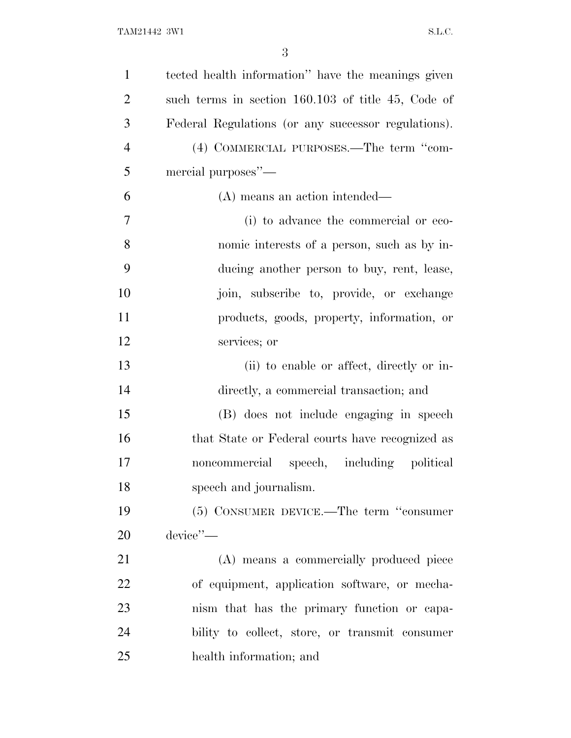| $\mathbf{1}$   | tected health information" have the meanings given  |
|----------------|-----------------------------------------------------|
| $\overline{2}$ | such terms in section 160.103 of title 45, Code of  |
| 3              | Federal Regulations (or any successor regulations). |
| $\overline{4}$ | (4) COMMERCIAL PURPOSES.—The term "com-             |
| 5              | mercial purposes"—                                  |
| 6              | (A) means an action intended—                       |
| 7              | (i) to advance the commercial or eco-               |
| 8              | nomic interests of a person, such as by in-         |
| 9              | ducing another person to buy, rent, lease,          |
| 10             | join, subscribe to, provide, or exchange            |
| 11             | products, goods, property, information, or          |
| 12             | services; or                                        |
| 13             | (ii) to enable or affect, directly or in-           |
| 14             | directly, a commercial transaction; and             |
| 15             | (B) does not include engaging in speech             |
| 16             | that State or Federal courts have recognized as     |
| 17             | noncommercial speech, including political           |
| 18             | speech and journalism.                              |
| 19             | (5) CONSUMER DEVICE.—The term "consumer             |
| 20             | device'                                             |
| 21             | (A) means a commercially produced piece             |
| 22             | of equipment, application software, or mecha-       |
| 23             | nism that has the primary function or capa-         |
| 24             | bility to collect, store, or transmit consumer      |
| 25             | health information; and                             |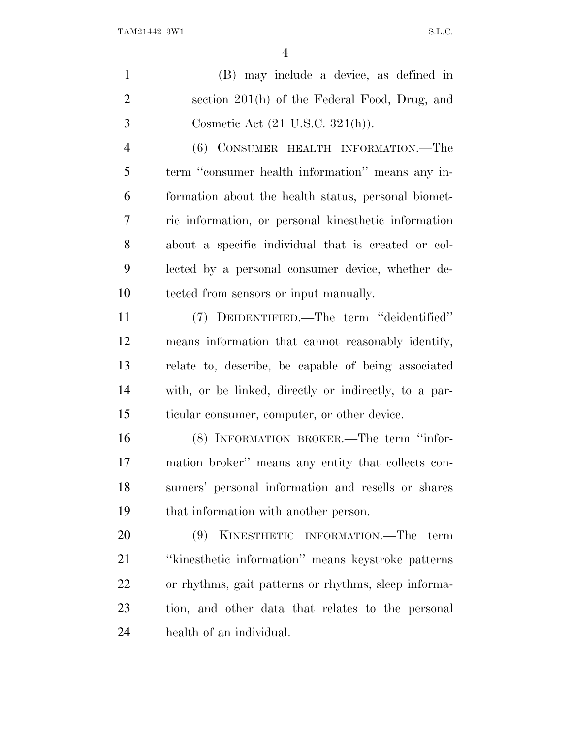(B) may include a device, as defined in section 201(h) of the Federal Food, Drug, and Cosmetic Act (21 U.S.C. 321(h)).

 (6) CONSUMER HEALTH INFORMATION.—The term ''consumer health information'' means any in- formation about the health status, personal biomet- ric information, or personal kinesthetic information about a specific individual that is created or col- lected by a personal consumer device, whether de-tected from sensors or input manually.

 (7) DEIDENTIFIED.—The term ''deidentified'' means information that cannot reasonably identify, relate to, describe, be capable of being associated with, or be linked, directly or indirectly, to a par-ticular consumer, computer, or other device.

 (8) INFORMATION BROKER.—The term ''infor- mation broker'' means any entity that collects con- sumers' personal information and resells or shares that information with another person.

 (9) KINESTHETIC INFORMATION.—The term ''kinesthetic information'' means keystroke patterns or rhythms, gait patterns or rhythms, sleep informa- tion, and other data that relates to the personal health of an individual.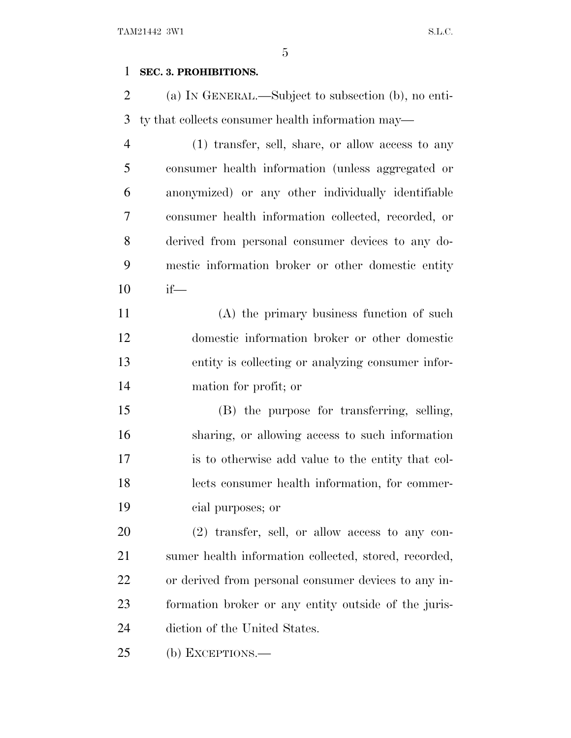## **SEC. 3. PROHIBITIONS.**

 (a) I<sup>N</sup> GENERAL.—Subject to subsection (b), no enti-ty that collects consumer health information may—

 (1) transfer, sell, share, or allow access to any consumer health information (unless aggregated or anonymized) or any other individually identifiable consumer health information collected, recorded, or derived from personal consumer devices to any do- mestic information broker or other domestic entity if—

 (A) the primary business function of such domestic information broker or other domestic entity is collecting or analyzing consumer infor-mation for profit; or

 (B) the purpose for transferring, selling, sharing, or allowing access to such information is to otherwise add value to the entity that col- lects consumer health information, for commer-cial purposes; or

 (2) transfer, sell, or allow access to any con- sumer health information collected, stored, recorded, or derived from personal consumer devices to any in- formation broker or any entity outside of the juris-diction of the United States.

(b) EXCEPTIONS.—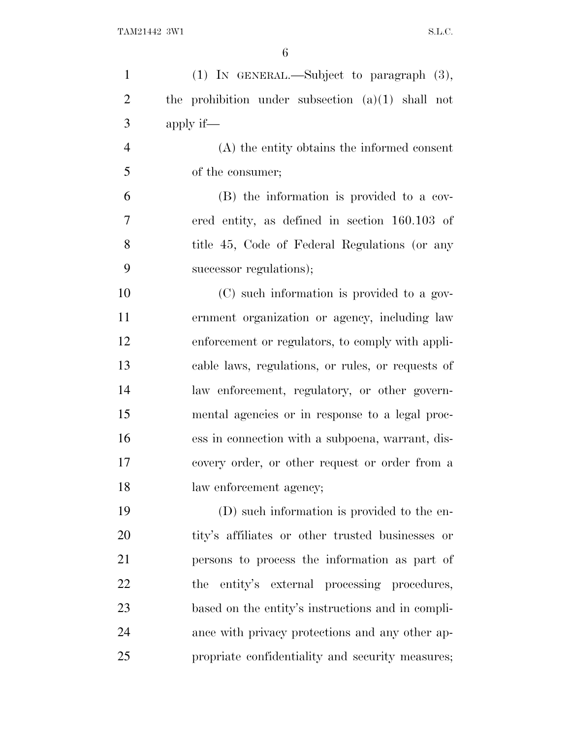| $\mathbf{1}$   | (1) IN GENERAL.—Subject to paragraph (3),           |
|----------------|-----------------------------------------------------|
| $\overline{2}$ | the prohibition under subsection $(a)(1)$ shall not |
| 3              | apply if—                                           |
| $\overline{4}$ | (A) the entity obtains the informed consent         |
| 5              | of the consumer;                                    |
| 6              | (B) the information is provided to a cov-           |
| 7              | ered entity, as defined in section 160.103 of       |
| 8              | title 45, Code of Federal Regulations (or any       |
| 9              | successor regulations);                             |
| 10             | (C) such information is provided to a gov-          |
| 11             | ernment organization or agency, including law       |
| 12             | enforcement or regulators, to comply with appli-    |
| 13             | cable laws, regulations, or rules, or requests of   |
| 14             | law enforcement, regulatory, or other govern-       |
| 15             | mental agencies or in response to a legal proc-     |
| 16             | ess in connection with a subpoena, warrant, dis-    |
| 17             | covery order, or other request or order from a      |
| 18             | law enforcement agency;                             |
| 19             | (D) such information is provided to the en-         |
| 20             | tity's affiliates or other trusted businesses or    |
| 21             | persons to process the information as part of       |
| 22             | the entity's external processing procedures,        |
| 23             | based on the entity's instructions and in compli-   |
| 24             | ance with privacy protections and any other ap-     |
| 25             | propriate confidentiality and security measures;    |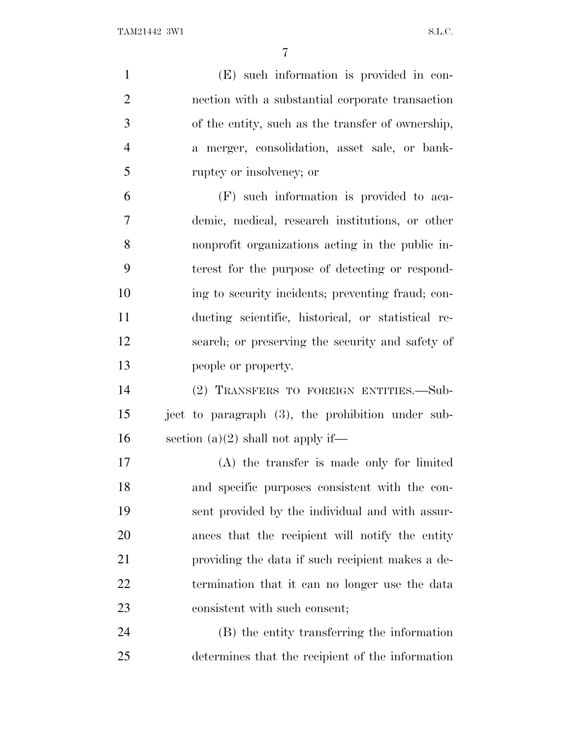| $\mathbf{1}$   | (E) such information is provided in con-           |
|----------------|----------------------------------------------------|
| $\overline{2}$ | nection with a substantial corporate transaction   |
| 3              | of the entity, such as the transfer of ownership,  |
| $\overline{4}$ | a merger, consolidation, asset sale, or bank-      |
| 5              | ruptcy or insolvency; or                           |
| 6              | (F) such information is provided to aca-           |
| $\overline{7}$ | demic, medical, research institutions, or other    |
| 8              | nonprofit organizations acting in the public in-   |
| 9              | terest for the purpose of detecting or respond-    |
| 10             | ing to security incidents; preventing fraud; con-  |
| 11             | ducting scientific, historical, or statistical re- |
| 12             | search; or preserving the security and safety of   |
| 13             | people or property.                                |
| 14             | (2) TRANSFERS TO FOREIGN ENTITIES.—Sub-            |
| 15             | ject to paragraph (3), the prohibition under sub-  |
| 16             | section $(a)(2)$ shall not apply if—               |
| 17             | $(A)$ the transfer is made only for limited        |
| 18             | and specific purposes consistent with the con-     |
| 19             | sent provided by the individual and with assur-    |
| 20             | ances that the recipient will notify the entity    |
| 21             | providing the data if such recipient makes a de-   |
| 22             | termination that it can no longer use the data     |
| 23             | consistent with such consent;                      |
| 24             | (B) the entity transferring the information        |
| 25             | determines that the recipient of the information   |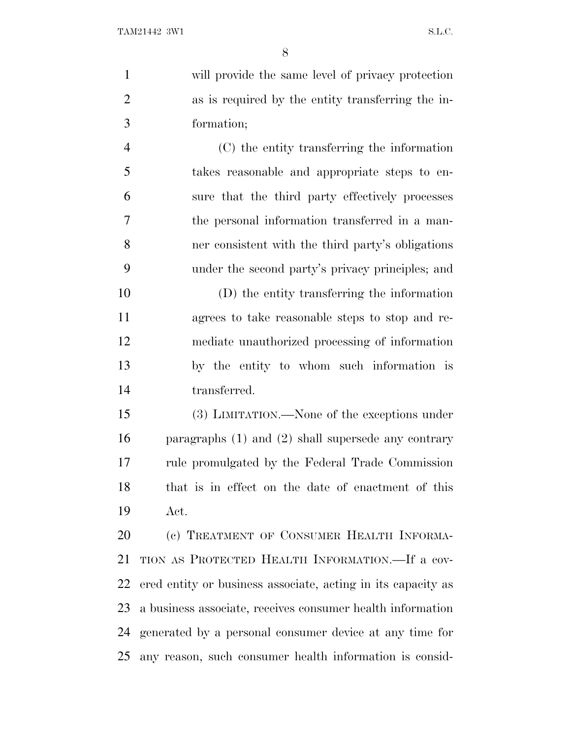will provide the same level of privacy protection as is required by the entity transferring the in-formation;

 (C) the entity transferring the information takes reasonable and appropriate steps to en- sure that the third party effectively processes the personal information transferred in a man- ner consistent with the third party's obligations under the second party's privacy principles; and

 (D) the entity transferring the information agrees to take reasonable steps to stop and re- mediate unauthorized processing of information by the entity to whom such information is transferred.

 (3) LIMITATION.—None of the exceptions under paragraphs (1) and (2) shall supersede any contrary rule promulgated by the Federal Trade Commission that is in effect on the date of enactment of this Act.

20 (c) TREATMENT OF CONSUMER HEALTH INFORMA- TION AS PROTECTED HEALTH INFORMATION.—If a cov- ered entity or business associate, acting in its capacity as a business associate, receives consumer health information generated by a personal consumer device at any time for any reason, such consumer health information is consid